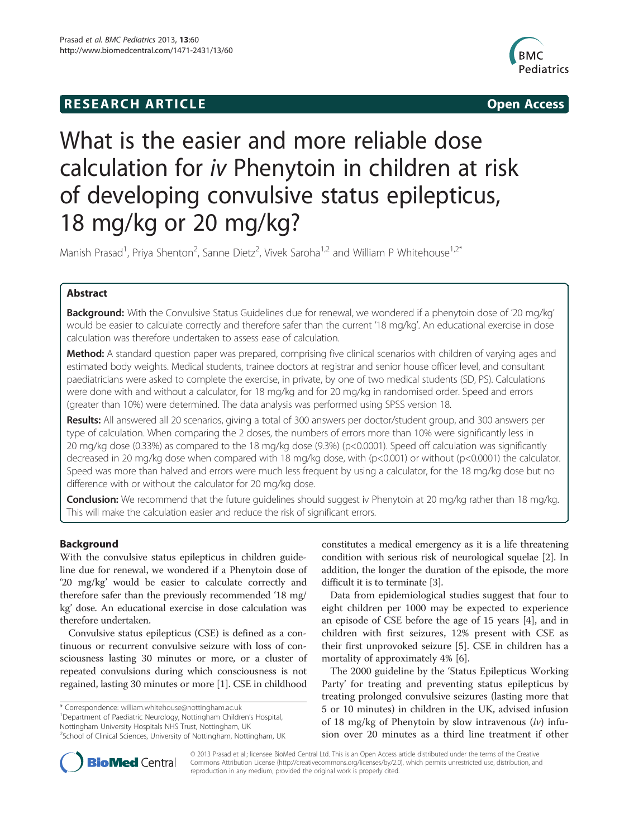## **RESEARCH ARTICLE Example 2014 The SEAR CH ACCESS**



# What is the easier and more reliable dose calculation for iv Phenytoin in children at risk of developing convulsive status epilepticus, 18 mg/kg or 20 mg/kg?

Manish Prasad<sup>1</sup>, Priya Shenton<sup>2</sup>, Sanne Dietz<sup>2</sup>, Vivek Saroha<sup>1,2</sup> and William P Whitehouse<sup>1,2\*</sup>

## Abstract

**Background:** With the Convulsive Status Guidelines due for renewal, we wondered if a phenytoin dose of '20 mg/kg' would be easier to calculate correctly and therefore safer than the current '18 mg/kg'. An educational exercise in dose calculation was therefore undertaken to assess ease of calculation.

Method: A standard question paper was prepared, comprising five clinical scenarios with children of varying ages and estimated body weights. Medical students, trainee doctors at registrar and senior house officer level, and consultant paediatricians were asked to complete the exercise, in private, by one of two medical students (SD, PS). Calculations were done with and without a calculator, for 18 mg/kg and for 20 mg/kg in randomised order. Speed and errors (greater than 10%) were determined. The data analysis was performed using SPSS version 18.

Results: All answered all 20 scenarios, giving a total of 300 answers per doctor/student group, and 300 answers per type of calculation. When comparing the 2 doses, the numbers of errors more than 10% were significantly less in 20 mg/kg dose (0.33%) as compared to the 18 mg/kg dose (9.3%) (p<0.0001). Speed off calculation was significantly decreased in 20 mg/kg dose when compared with 18 mg/kg dose, with (p<0.001) or without (p<0.0001) the calculator. Speed was more than halved and errors were much less frequent by using a calculator, for the 18 mg/kg dose but no difference with or without the calculator for 20 mg/kg dose.

Conclusion: We recommend that the future guidelines should suggest iv Phenytoin at 20 mg/kg rather than 18 mg/kg. This will make the calculation easier and reduce the risk of significant errors.

## Background

With the convulsive status epilepticus in children guideline due for renewal, we wondered if a Phenytoin dose of '20 mg/kg' would be easier to calculate correctly and therefore safer than the previously recommended '18 mg/ kg' dose. An educational exercise in dose calculation was therefore undertaken.

Convulsive status epilepticus (CSE) is defined as a continuous or recurrent convulsive seizure with loss of consciousness lasting 30 minutes or more, or a cluster of repeated convulsions during which consciousness is not regained, lasting 30 minutes or more [\[1](#page-4-0)]. CSE in childhood

\* Correspondence: [william.whitehouse@nottingham.ac.uk](mailto:william.whitehouse@nottingham.ac.uk) <sup>1</sup>

<sup>1</sup>Department of Paediatric Neurology, Nottingham Children's Hospital, Nottingham University Hospitals NHS Trust, Nottingham, UK <sup>2</sup>School of Clinical Sciences, University of Nottingham, Nottingham, UK constitutes a medical emergency as it is a life threatening condition with serious risk of neurological squelae [[2](#page-4-0)]. In addition, the longer the duration of the episode, the more difficult it is to terminate [[3\]](#page-4-0).

Data from epidemiological studies suggest that four to eight children per 1000 may be expected to experience an episode of CSE before the age of 15 years [\[4](#page-4-0)], and in children with first seizures, 12% present with CSE as their first unprovoked seizure [\[5](#page-4-0)]. CSE in children has a mortality of approximately 4% [[6\]](#page-4-0).

The 2000 guideline by the 'Status Epilepticus Working Party' for treating and preventing status epilepticus by treating prolonged convulsive seizures (lasting more that 5 or 10 minutes) in children in the UK, advised infusion of 18 mg/kg of Phenytoin by slow intravenous  $(iv)$  infusion over 20 minutes as a third line treatment if other



© 2013 Prasad et al.; licensee BioMed Central Ltd. This is an Open Access article distributed under the terms of the Creative Commons Attribution License [\(http://creativecommons.org/licenses/by/2.0\)](http://creativecommons.org/licenses/by/2.0), which permits unrestricted use, distribution, and reproduction in any medium, provided the original work is properly cited.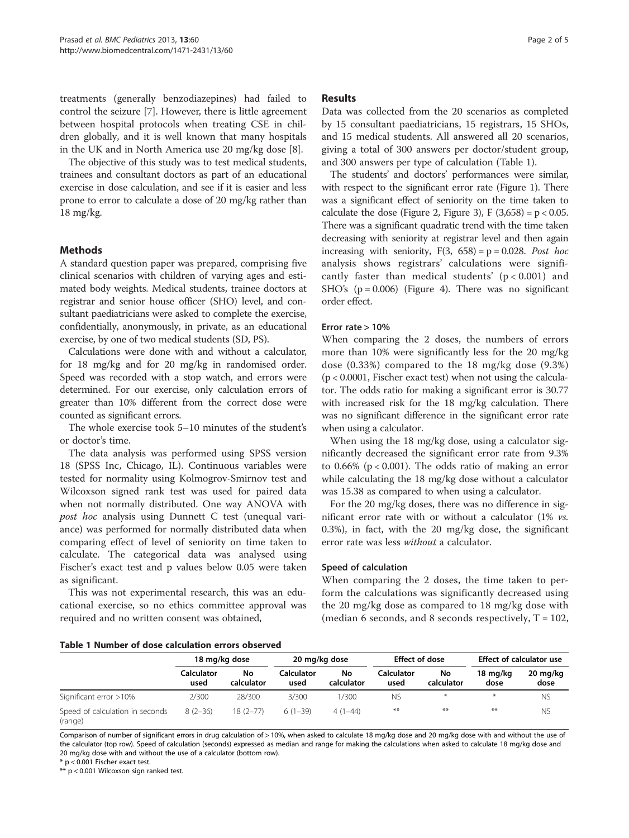treatments (generally benzodiazepines) had failed to control the seizure [\[7](#page-4-0)]. However, there is little agreement between hospital protocols when treating CSE in children globally, and it is well known that many hospitals in the UK and in North America use 20 mg/kg dose [[8\]](#page-4-0).

The objective of this study was to test medical students, trainees and consultant doctors as part of an educational exercise in dose calculation, and see if it is easier and less prone to error to calculate a dose of 20 mg/kg rather than 18 mg/kg.

## Methods

A standard question paper was prepared, comprising five clinical scenarios with children of varying ages and estimated body weights. Medical students, trainee doctors at registrar and senior house officer (SHO) level, and consultant paediatricians were asked to complete the exercise, confidentially, anonymously, in private, as an educational exercise, by one of two medical students (SD, PS).

Calculations were done with and without a calculator, for 18 mg/kg and for 20 mg/kg in randomised order. Speed was recorded with a stop watch, and errors were determined. For our exercise, only calculation errors of greater than 10% different from the correct dose were counted as significant errors.

The whole exercise took 5–10 minutes of the student's or doctor's time.

The data analysis was performed using SPSS version 18 (SPSS Inc, Chicago, IL). Continuous variables were tested for normality using Kolmogrov-Smirnov test and Wilcoxson signed rank test was used for paired data when not normally distributed. One way ANOVA with post hoc analysis using Dunnett C test (unequal variance) was performed for normally distributed data when comparing effect of level of seniority on time taken to calculate. The categorical data was analysed using Fischer's exact test and p values below 0.05 were taken as significant.

This was not experimental research, this was an educational exercise, so no ethics committee approval was required and no written consent was obtained,

## Results

Data was collected from the 20 scenarios as completed by 15 consultant paediatricians, 15 registrars, 15 SHOs, and 15 medical students. All answered all 20 scenarios, giving a total of 300 answers per doctor/student group, and 300 answers per type of calculation (Table 1).

The students' and doctors' performances were similar, with respect to the significant error rate (Figure [1](#page-2-0)). There was a significant effect of seniority on the time taken to calculate the dose (Figure [2,](#page-2-0) Figure [3\)](#page-3-0), F  $(3,658) = p < 0.05$ . There was a significant quadratic trend with the time taken decreasing with seniority at registrar level and then again increasing with seniority,  $F(3, 658) = p = 0.028$ . Post hoc analysis shows registrars' calculations were significantly faster than medical students'  $(p < 0.001)$  and SHO's  $(p = 0.006)$  (Figure [4](#page-3-0)). There was no significant order effect.

## Error rate > 10%

When comparing the 2 doses, the numbers of errors more than 10% were significantly less for the 20 mg/kg dose (0.33%) compared to the 18 mg/kg dose (9.3%)  $(p < 0.0001$ , Fischer exact test) when not using the calculator. The odds ratio for making a significant error is 30.77 with increased risk for the 18 mg/kg calculation. There was no significant difference in the significant error rate when using a calculator.

When using the 18 mg/kg dose, using a calculator significantly decreased the significant error rate from 9.3% to  $0.66\%$  ( $p < 0.001$ ). The odds ratio of making an error while calculating the 18 mg/kg dose without a calculator was 15.38 as compared to when using a calculator.

For the 20 mg/kg doses, there was no difference in significant error rate with or without a calculator (1% vs. 0.3%), in fact, with the 20 mg/kg dose, the significant error rate was less without a calculator.

## Speed of calculation

When comparing the 2 doses, the time taken to perform the calculations was significantly decreased using the 20 mg/kg dose as compared to 18 mg/kg dose with (median 6 seconds, and 8 seconds respectively,  $T = 102$ ,

#### Table 1 Number of dose calculation errors observed

|                                            | 18 mg/kg dose             |                  | 20 mg/kg dose      |                  | <b>Effect of dose</b> |                  | <b>Effect of calculator use</b> |                            |
|--------------------------------------------|---------------------------|------------------|--------------------|------------------|-----------------------|------------------|---------------------------------|----------------------------|
|                                            | <b>Calculator</b><br>used | No<br>calculator | Calculator<br>used | No<br>calculator | Calculator<br>used    | No<br>calculator | 18 mg/kg<br>dose                | $20 \text{ mg/kg}$<br>dose |
| Significant error >10%                     | 2/300                     | 28/300           | 3/300              | 1/300            | <b>NS</b>             | $\ast$           | $*$                             | <b>NS</b>                  |
| Speed of calculation in seconds<br>(range) | $8(2-36)$                 | $18(2 - 77)$     | $6(1-39)$          | $4(1-44)$        | $***$                 | **               | $***$                           | <b>NS</b>                  |

Comparison of number of significant errors in drug calculation of > 10%, when asked to calculate 18 mg/kg dose and 20 mg/kg dose with and without the use of the calculator (top row). Speed of calculation (seconds) expressed as median and range for making the calculations when asked to calculate 18 mg/kg dose and 20 mg/kg dose with and without the use of a calculator (bottom row).

\* p < 0.001 Fischer exact test.

\*\* p < 0.001 Wilcoxson sign ranked test.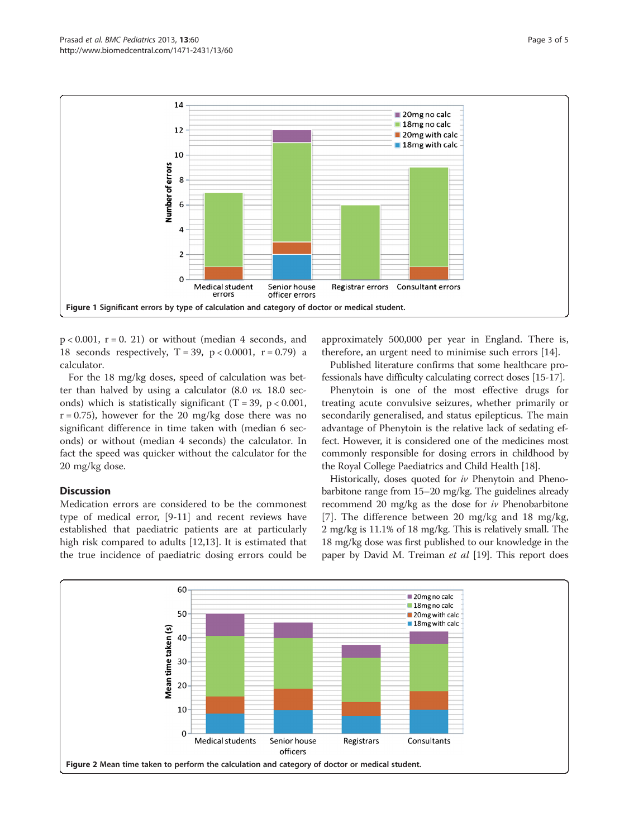<span id="page-2-0"></span>

 $p < 0.001$ ,  $r = 0$ . 21) or without (median 4 seconds, and 18 seconds respectively,  $T = 39$ ,  $p < 0.0001$ ,  $r = 0.79$ ) a calculator.

For the 18 mg/kg doses, speed of calculation was better than halved by using a calculator (8.0 vs. 18.0 seconds) which is statistically significant (T = 39,  $p < 0.001$ ,  $r = 0.75$ ), however for the 20 mg/kg dose there was no significant difference in time taken with (median 6 seconds) or without (median 4 seconds) the calculator. In fact the speed was quicker without the calculator for the 20 mg/kg dose.

## **Discussion**

Medication errors are considered to be the commonest type of medical error, [\[9](#page-4-0)-[11\]](#page-4-0) and recent reviews have established that paediatric patients are at particularly high risk compared to adults [\[12,13](#page-4-0)]. It is estimated that the true incidence of paediatric dosing errors could be approximately 500,000 per year in England. There is, therefore, an urgent need to minimise such errors [[14](#page-4-0)].

Published literature confirms that some healthcare professionals have difficulty calculating correct doses [\[15-17\]](#page-4-0).

Phenytoin is one of the most effective drugs for treating acute convulsive seizures, whether primarily or secondarily generalised, and status epilepticus. The main advantage of Phenytoin is the relative lack of sedating effect. However, it is considered one of the medicines most commonly responsible for dosing errors in childhood by the Royal College Paediatrics and Child Health [[18](#page-4-0)].

Historically, doses quoted for iv Phenytoin and Phenobarbitone range from 15–20 mg/kg. The guidelines already recommend 20 mg/kg as the dose for iv Phenobarbitone [[7](#page-4-0)]. The difference between 20 mg/kg and 18 mg/kg, 2 mg/kg is 11.1% of 18 mg/kg. This is relatively small. The 18 mg/kg dose was first published to our knowledge in the paper by David M. Treiman *et al* [\[19\]](#page-4-0). This report does

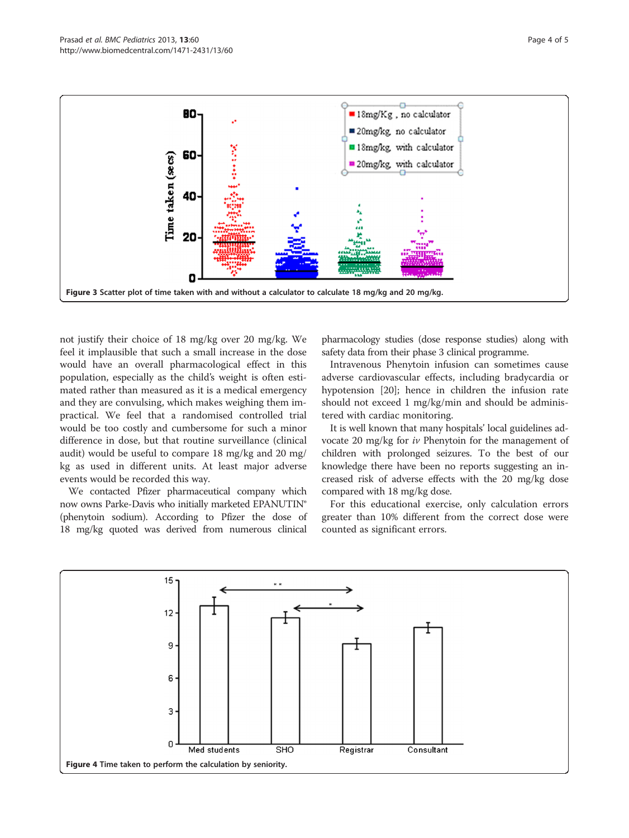<span id="page-3-0"></span>

not justify their choice of 18 mg/kg over 20 mg/kg. We feel it implausible that such a small increase in the dose would have an overall pharmacological effect in this population, especially as the child's weight is often estimated rather than measured as it is a medical emergency and they are convulsing, which makes weighing them impractical. We feel that a randomised controlled trial would be too costly and cumbersome for such a minor difference in dose, but that routine surveillance (clinical audit) would be useful to compare 18 mg/kg and 20 mg/ kg as used in different units. At least major adverse events would be recorded this way.

We contacted Pfizer pharmaceutical company which now owns Parke-Davis who initially marketed EPANUTIN® (phenytoin sodium). According to Pfizer the dose of 18 mg/kg quoted was derived from numerous clinical

pharmacology studies (dose response studies) along with safety data from their phase 3 clinical programme.

Intravenous Phenytoin infusion can sometimes cause adverse cardiovascular effects, including bradycardia or hypotension [\[20](#page-4-0)]; hence in children the infusion rate should not exceed 1 mg/kg/min and should be administered with cardiac monitoring.

It is well known that many hospitals' local guidelines advocate 20 mg/kg for iv Phenytoin for the management of children with prolonged seizures. To the best of our knowledge there have been no reports suggesting an increased risk of adverse effects with the 20 mg/kg dose compared with 18 mg/kg dose.

For this educational exercise, only calculation errors greater than 10% different from the correct dose were counted as significant errors.